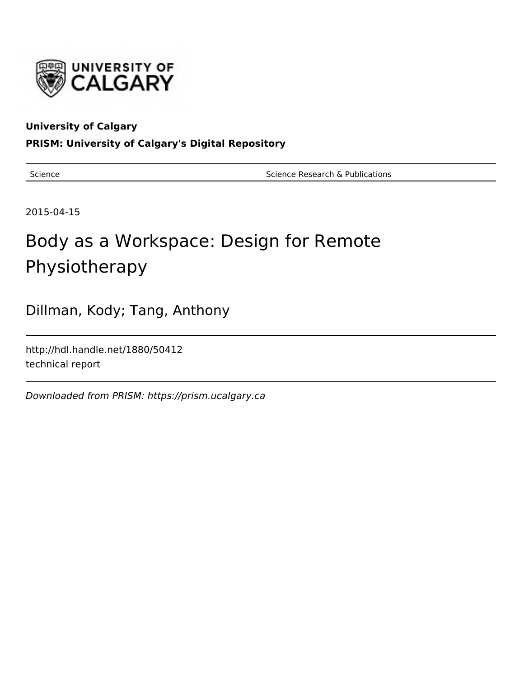

# **University of Calgary**

# **PRISM: University of Calgary's Digital Repository**

Science **Science Research & Publications** Science Research & Publications

2015-04-15

# Body as a Workspace: Design for Remote Physiotherapy

Dillman, Kody; Tang, Anthony

http://hdl.handle.net/1880/50412 technical report

Downloaded from PRISM: https://prism.ucalgary.ca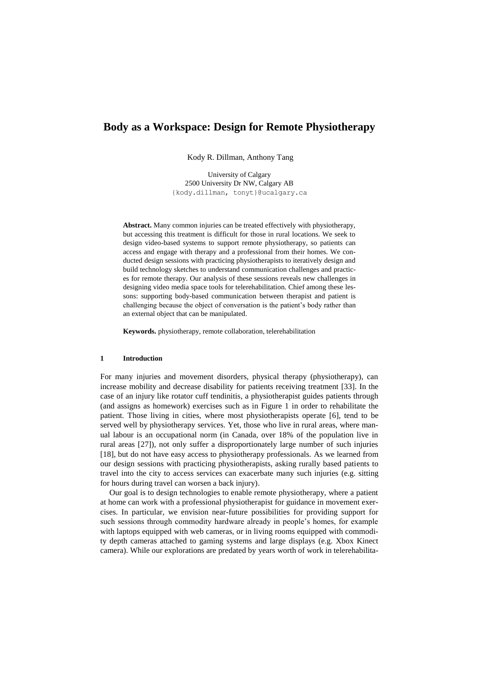# **Body as a Workspace: Design for Remote Physiotherapy**

Kody R. Dillman, Anthony Tang

University of Calgary 2500 University Dr NW, Calgary AB {kody.dillman, tonyt}@ucalgary.ca

**Abstract.** Many common injuries can be treated effectively with physiotherapy, but accessing this treatment is difficult for those in rural locations. We seek to design video-based systems to support remote physiotherapy, so patients can access and engage with therapy and a professional from their homes. We conducted design sessions with practicing physiotherapists to iteratively design and build technology sketches to understand communication challenges and practices for remote therapy. Our analysis of these sessions reveals new challenges in designing video media space tools for telerehabilitation. Chief among these lessons: supporting body-based communication between therapist and patient is challenging because the object of conversation is the patient's body rather than an external object that can be manipulated.

**Keywords.** physiotherapy, remote collaboration, telerehabilitation

#### **1 Introduction**

For many injuries and movement disorders, physical therapy (physiotherapy), can increase mobility and decrease disability for patients receiving treatment [33]. In the case of an injury like rotator cuff tendinitis, a physiotherapist guides patients through (and assigns as homework) exercises such as in Figure 1 in order to rehabilitate the patient. Those living in cities, where most physiotherapists operate [6], tend to be served well by physiotherapy services. Yet, those who live in rural areas, where manual labour is an occupational norm (in Canada, over 18% of the population live in rural areas [27]), not only suffer a disproportionately large number of such injuries [18], but do not have easy access to physiotherapy professionals. As we learned from our design sessions with practicing physiotherapists, asking rurally based patients to travel into the city to access services can exacerbate many such injuries (e.g. sitting for hours during travel can worsen a back injury).

Our goal is to design technologies to enable remote physiotherapy, where a patient at home can work with a professional physiotherapist for guidance in movement exercises. In particular, we envision near-future possibilities for providing support for such sessions through commodity hardware already in people's homes, for example with laptops equipped with web cameras, or in living rooms equipped with commodity depth cameras attached to gaming systems and large displays (e.g. Xbox Kinect camera). While our explorations are predated by years worth of work in telerehabilita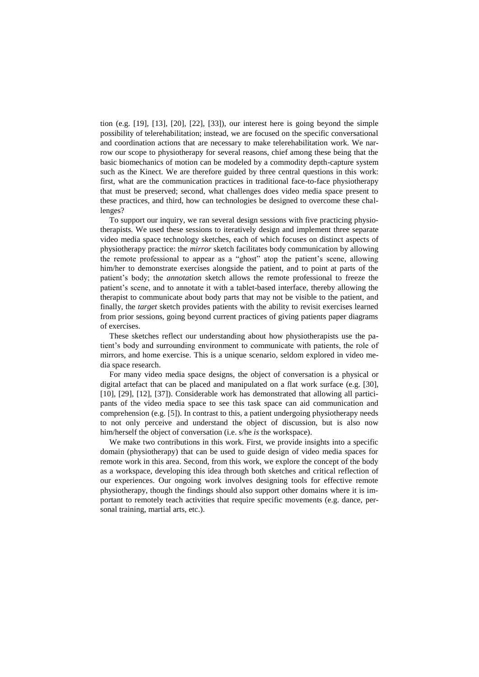tion (e.g. [19], [13], [20], [22], [33]), our interest here is going beyond the simple possibility of telerehabilitation; instead, we are focused on the specific conversational and coordination actions that are necessary to make telerehabilitation work. We narrow our scope to physiotherapy for several reasons, chief among these being that the basic biomechanics of motion can be modeled by a commodity depth-capture system such as the Kinect. We are therefore guided by three central questions in this work: first, what are the communication practices in traditional face-to-face physiotherapy that must be preserved; second, what challenges does video media space present to these practices, and third, how can technologies be designed to overcome these challenges?

To support our inquiry, we ran several design sessions with five practicing physiotherapists. We used these sessions to iteratively design and implement three separate video media space technology sketches, each of which focuses on distinct aspects of physiotherapy practice: the *mirror* sketch facilitates body communication by allowing the remote professional to appear as a "ghost" atop the patient's scene, allowing him/her to demonstrate exercises alongside the patient, and to point at parts of the patient's body; the *annotation* sketch allows the remote professional to freeze the patient's scene, and to annotate it with a tablet-based interface, thereby allowing the therapist to communicate about body parts that may not be visible to the patient, and finally, the *target* sketch provides patients with the ability to revisit exercises learned from prior sessions, going beyond current practices of giving patients paper diagrams of exercises.

These sketches reflect our understanding about how physiotherapists use the patient's body and surrounding environment to communicate with patients, the role of mirrors, and home exercise. This is a unique scenario, seldom explored in video media space research.

For many video media space designs, the object of conversation is a physical or digital artefact that can be placed and manipulated on a flat work surface (e.g. [30], [10], [29], [12], [37]). Considerable work has demonstrated that allowing all participants of the video media space to see this task space can aid communication and comprehension (e.g. [5]). In contrast to this, a patient undergoing physiotherapy needs to not only perceive and understand the object of discussion, but is also now him/herself the object of conversation (i.e. s/he *is* the workspace).

We make two contributions in this work. First, we provide insights into a specific domain (physiotherapy) that can be used to guide design of video media spaces for remote work in this area. Second, from this work, we explore the concept of the body as a workspace, developing this idea through both sketches and critical reflection of our experiences. Our ongoing work involves designing tools for effective remote physiotherapy, though the findings should also support other domains where it is important to remotely teach activities that require specific movements (e.g. dance, personal training, martial arts, etc.).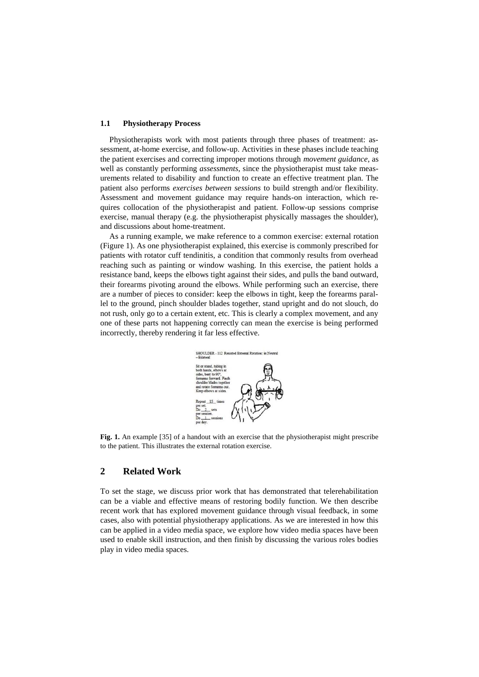#### **1.1 Physiotherapy Process**

Physiotherapists work with most patients through three phases of treatment: assessment, at-home exercise, and follow-up. Activities in these phases include teaching the patient exercises and correcting improper motions through *movement guidance*, as well as constantly performing *assessments*, since the physiotherapist must take measurements related to disability and function to create an effective treatment plan. The patient also performs *exercises between sessions* to build strength and/or flexibility. Assessment and movement guidance may require hands-on interaction, which requires collocation of the physiotherapist and patient. Follow-up sessions comprise exercise, manual therapy (e.g. the physiotherapist physically massages the shoulder), and discussions about home-treatment.

As a running example, we make reference to a common exercise: external rotation (Figure 1). As one physiotherapist explained, this exercise is commonly prescribed for patients with rotator cuff tendinitis, a condition that commonly results from overhead reaching such as painting or window washing. In this exercise, the patient holds a resistance band, keeps the elbows tight against their sides, and pulls the band outward, their forearms pivoting around the elbows. While performing such an exercise, there are a number of pieces to consider: keep the elbows in tight, keep the forearms parallel to the ground, pinch shoulder blades together, stand upright and do not slouch, do not rush, only go to a certain extent, etc. This is clearly a complex movement, and any one of these parts not happening correctly can mean the exercise is being performed incorrectly, thereby rendering it far less effective.



**Fig. 1.** An example [35] of a handout with an exercise that the physiotherapist might prescribe to the patient. This illustrates the external rotation exercise.

# **2 Related Work**

To set the stage, we discuss prior work that has demonstrated that telerehabilitation can be a viable and effective means of restoring bodily function. We then describe recent work that has explored movement guidance through visual feedback, in some cases, also with potential physiotherapy applications. As we are interested in how this can be applied in a video media space, we explore how video media spaces have been used to enable skill instruction, and then finish by discussing the various roles bodies play in video media spaces.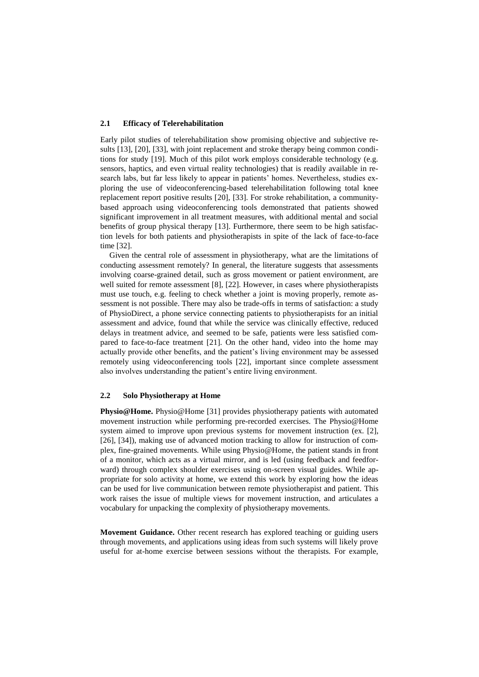#### **2.1 Efficacy of Telerehabilitation**

Early pilot studies of telerehabilitation show promising objective and subjective results [13], [20], [33], with joint replacement and stroke therapy being common conditions for study [19]. Much of this pilot work employs considerable technology (e.g. sensors, haptics, and even virtual reality technologies) that is readily available in research labs, but far less likely to appear in patients' homes. Nevertheless, studies exploring the use of videoconferencing-based telerehabilitation following total knee replacement report positive results [20], [33]. For stroke rehabilitation, a communitybased approach using videoconferencing tools demonstrated that patients showed significant improvement in all treatment measures, with additional mental and social benefits of group physical therapy [13]. Furthermore, there seem to be high satisfaction levels for both patients and physiotherapists in spite of the lack of face-to-face time [32].

Given the central role of assessment in physiotherapy, what are the limitations of conducting assessment remotely? In general, the literature suggests that assessments involving coarse-grained detail, such as gross movement or patient environment, are well suited for remote assessment [8], [22]. However, in cases where physiotherapists must use touch, e.g. feeling to check whether a joint is moving properly, remote assessment is not possible. There may also be trade-offs in terms of satisfaction: a study of PhysioDirect, a phone service connecting patients to physiotherapists for an initial assessment and advice, found that while the service was clinically effective, reduced delays in treatment advice, and seemed to be safe, patients were less satisfied compared to face-to-face treatment [21]. On the other hand, video into the home may actually provide other benefits, and the patient's living environment may be assessed remotely using videoconferencing tools [22], important since complete assessment also involves understanding the patient's entire living environment.

#### **2.2 Solo Physiotherapy at Home**

**Physio@Home.** Physio@Home [31] provides physiotherapy patients with automated movement instruction while performing pre-recorded exercises. The Physio@Home system aimed to improve upon previous systems for movement instruction (ex. [2], [26], [34]), making use of advanced motion tracking to allow for instruction of complex, fine-grained movements. While using Physio@Home, the patient stands in front of a monitor, which acts as a virtual mirror, and is led (using feedback and feedforward) through complex shoulder exercises using on-screen visual guides. While appropriate for solo activity at home, we extend this work by exploring how the ideas can be used for live communication between remote physiotherapist and patient. This work raises the issue of multiple views for movement instruction, and articulates a vocabulary for unpacking the complexity of physiotherapy movements.

**Movement Guidance.** Other recent research has explored teaching or guiding users through movements, and applications using ideas from such systems will likely prove useful for at-home exercise between sessions without the therapists. For example,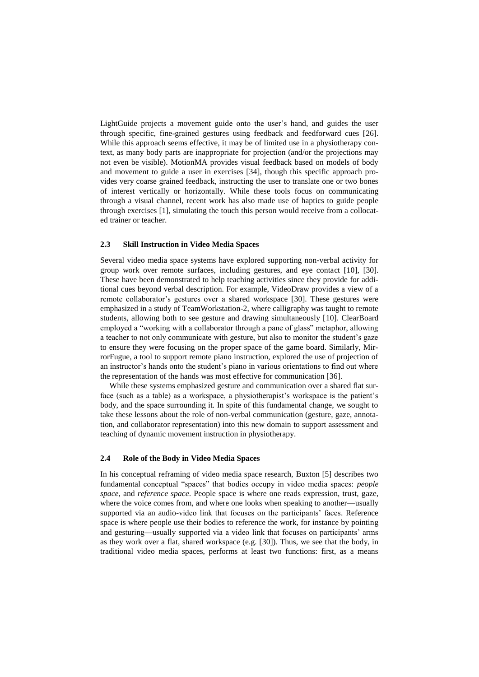LightGuide projects a movement guide onto the user's hand, and guides the user through specific, fine-grained gestures using feedback and feedforward cues [26]. While this approach seems effective, it may be of limited use in a physiotherapy context, as many body parts are inappropriate for projection (and/or the projections may not even be visible). MotionMA provides visual feedback based on models of body and movement to guide a user in exercises [34], though this specific approach provides very coarse grained feedback, instructing the user to translate one or two bones of interest vertically or horizontally. While these tools focus on communicating through a visual channel, recent work has also made use of haptics to guide people through exercises [1], simulating the touch this person would receive from a collocated trainer or teacher.

#### **2.3 Skill Instruction in Video Media Spaces**

Several video media space systems have explored supporting non-verbal activity for group work over remote surfaces, including gestures, and eye contact [10], [30]. These have been demonstrated to help teaching activities since they provide for additional cues beyond verbal description. For example, VideoDraw provides a view of a remote collaborator's gestures over a shared workspace [30]. These gestures were emphasized in a study of TeamWorkstation-2, where calligraphy was taught to remote students, allowing both to see gesture and drawing simultaneously [10]. ClearBoard employed a "working with a collaborator through a pane of glass" metaphor, allowing a teacher to not only communicate with gesture, but also to monitor the student's gaze to ensure they were focusing on the proper space of the game board. Similarly, MirrorFugue, a tool to support remote piano instruction, explored the use of projection of an instructor's hands onto the student's piano in various orientations to find out where the representation of the hands was most effective for communication [36].

While these systems emphasized gesture and communication over a shared flat surface (such as a table) as a workspace, a physiotherapist's workspace is the patient's body, and the space surrounding it. In spite of this fundamental change, we sought to take these lessons about the role of non-verbal communication (gesture, gaze, annotation, and collaborator representation) into this new domain to support assessment and teaching of dynamic movement instruction in physiotherapy.

#### **2.4 Role of the Body in Video Media Spaces**

In his conceptual reframing of video media space research, Buxton [5] describes two fundamental conceptual "spaces" that bodies occupy in video media spaces: *people space*, and *reference space*. People space is where one reads expression, trust, gaze, where the voice comes from, and where one looks when speaking to another—usually supported via an audio-video link that focuses on the participants' faces. Reference space is where people use their bodies to reference the work, for instance by pointing and gesturing—usually supported via a video link that focuses on participants' arms as they work over a flat, shared workspace (e.g.  $[30]$ ). Thus, we see that the body, in traditional video media spaces, performs at least two functions: first, as a means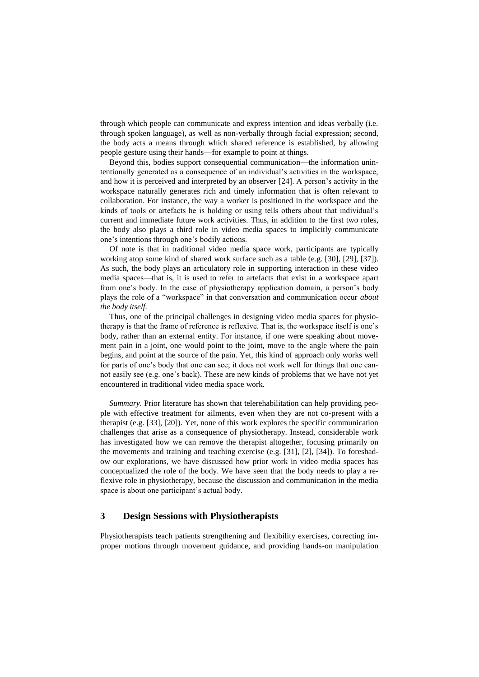through which people can communicate and express intention and ideas verbally (i.e. through spoken language), as well as non-verbally through facial expression; second, the body acts a means through which shared reference is established, by allowing people gesture using their hands—for example to point at things.

Beyond this, bodies support consequential communication—the information unintentionally generated as a consequence of an individual's activities in the workspace, and how it is perceived and interpreted by an observer [24]. A person's activity in the workspace naturally generates rich and timely information that is often relevant to collaboration. For instance, the way a worker is positioned in the workspace and the kinds of tools or artefacts he is holding or using tells others about that individual's current and immediate future work activities. Thus, in addition to the first two roles, the body also plays a third role in video media spaces to implicitly communicate one's intentions through one's bodily actions.

Of note is that in traditional video media space work, participants are typically working atop some kind of shared work surface such as a table (e.g. [30], [29], [37]). As such, the body plays an articulatory role in supporting interaction in these video media spaces—that is, it is used to refer to artefacts that exist in a workspace apart from one's body. In the case of physiotherapy application domain, a person's body plays the role of a "workspace" in that conversation and communication occur *about the body itself.*

Thus, one of the principal challenges in designing video media spaces for physiotherapy is that the frame of reference is reflexive. That is, the workspace itself is one's body, rather than an external entity. For instance, if one were speaking about movement pain in a joint, one would point to the joint, move to the angle where the pain begins, and point at the source of the pain. Yet, this kind of approach only works well for parts of one's body that one can see; it does not work well for things that one cannot easily see (e.g. one's back). These are new kinds of problems that we have not yet encountered in traditional video media space work.

*Summary*. Prior literature has shown that telerehabilitation can help providing people with effective treatment for ailments, even when they are not co-present with a therapist (e.g. [33], [20]). Yet, none of this work explores the specific communication challenges that arise as a consequence of physiotherapy. Instead, considerable work has investigated how we can remove the therapist altogether, focusing primarily on the movements and training and teaching exercise (e.g. [31], [2], [34]). To foreshadow our explorations, we have discussed how prior work in video media spaces has conceptualized the role of the body. We have seen that the body needs to play a reflexive role in physiotherapy, because the discussion and communication in the media space is about one participant's actual body.

## **3 Design Sessions with Physiotherapists**

Physiotherapists teach patients strengthening and flexibility exercises, correcting improper motions through movement guidance, and providing hands-on manipulation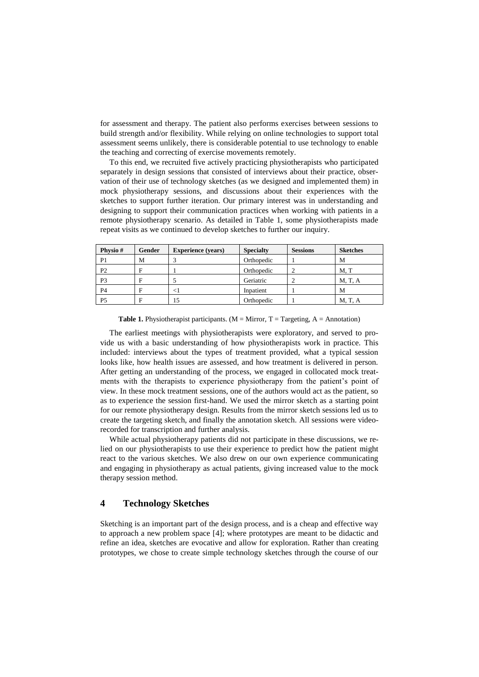for assessment and therapy. The patient also performs exercises between sessions to build strength and/or flexibility. While relying on online technologies to support total assessment seems unlikely, there is considerable potential to use technology to enable the teaching and correcting of exercise movements remotely.

To this end, we recruited five actively practicing physiotherapists who participated separately in design sessions that consisted of interviews about their practice, observation of their use of technology sketches (as we designed and implemented them) in mock physiotherapy sessions, and discussions about their experiences with the sketches to support further iteration. Our primary interest was in understanding and designing to support their communication practices when working with patients in a remote physiotherapy scenario. As detailed in Table 1, some physiotherapists made repeat visits as we continued to develop sketches to further our inquiry.

| Physio#        | Gender | <b>Experience</b> (years) | <b>Specialty</b> | <b>Sessions</b> | <b>Sketches</b> |
|----------------|--------|---------------------------|------------------|-----------------|-----------------|
| P <sub>1</sub> | M      |                           | Orthopedic       |                 | M               |
| P <sub>2</sub> | E      |                           | Orthopedic       |                 | M.T             |
| P <sub>3</sub> | Е      |                           | Geriatric        |                 | M, T, A         |
| <b>P4</b>      | E      | $\leq$ 1                  | Inpatient        |                 | M               |
| P <sub>5</sub> | Е      | 15                        | Orthopedic       |                 | M, T, A         |

**Table 1.** Physiotherapist participants. ( $M =$  Mirror,  $T =$  Targeting,  $A =$  Annotation)

The earliest meetings with physiotherapists were exploratory, and served to provide us with a basic understanding of how physiotherapists work in practice. This included: interviews about the types of treatment provided, what a typical session looks like, how health issues are assessed, and how treatment is delivered in person. After getting an understanding of the process, we engaged in collocated mock treatments with the therapists to experience physiotherapy from the patient's point of view. In these mock treatment sessions, one of the authors would act as the patient, so as to experience the session first-hand. We used the mirror sketch as a starting point for our remote physiotherapy design. Results from the mirror sketch sessions led us to create the targeting sketch, and finally the annotation sketch. All sessions were videorecorded for transcription and further analysis.

While actual physiotherapy patients did not participate in these discussions, we relied on our physiotherapists to use their experience to predict how the patient might react to the various sketches. We also drew on our own experience communicating and engaging in physiotherapy as actual patients, giving increased value to the mock therapy session method.

#### **4 Technology Sketches**

Sketching is an important part of the design process, and is a cheap and effective way to approach a new problem space [4]; where prototypes are meant to be didactic and refine an idea, sketches are evocative and allow for exploration. Rather than creating prototypes, we chose to create simple technology sketches through the course of our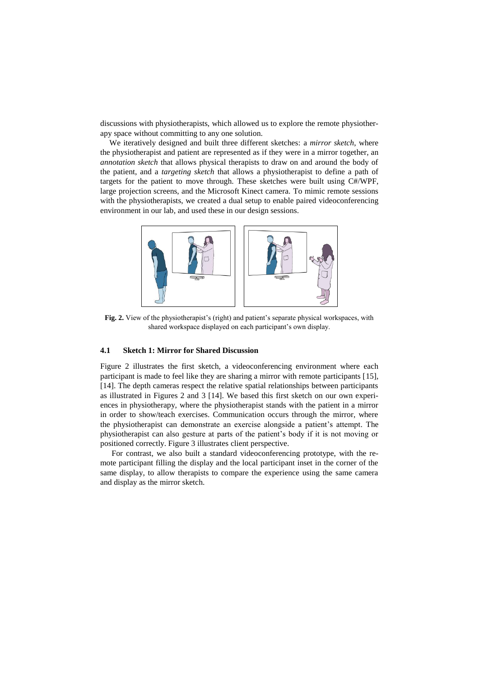discussions with physiotherapists, which allowed us to explore the remote physiotherapy space without committing to any one solution.

We iteratively designed and built three different sketches: a *mirror sketch*, where the physiotherapist and patient are represented as if they were in a mirror together, an *annotation sketch* that allows physical therapists to draw on and around the body of the patient, and a *targeting sketch* that allows a physiotherapist to define a path of targets for the patient to move through. These sketches were built using C#/WPF, large projection screens, and the Microsoft Kinect camera. To mimic remote sessions with the physiotherapists, we created a dual setup to enable paired videoconferencing environment in our lab, and used these in our design sessions.



**Fig. 2.** View of the physiotherapist's (right) and patient's separate physical workspaces, with shared workspace displayed on each participant's own display.

#### **4.1 Sketch 1: Mirror for Shared Discussion**

Figure 2 illustrates the first sketch, a videoconferencing environment where each participant is made to feel like they are sharing a mirror with remote participants [15], [14]. The depth cameras respect the relative spatial relationships between participants as illustrated in Figures 2 and 3 [14]. We based this first sketch on our own experiences in physiotherapy, where the physiotherapist stands with the patient in a mirror in order to show/teach exercises. Communication occurs through the mirror, where the physiotherapist can demonstrate an exercise alongside a patient's attempt. The physiotherapist can also gesture at parts of the patient's body if it is not moving or positioned correctly. Figure 3 illustrates client perspective.

For contrast, we also built a standard videoconferencing prototype, with the remote participant filling the display and the local participant inset in the corner of the same display, to allow therapists to compare the experience using the same camera and display as the mirror sketch.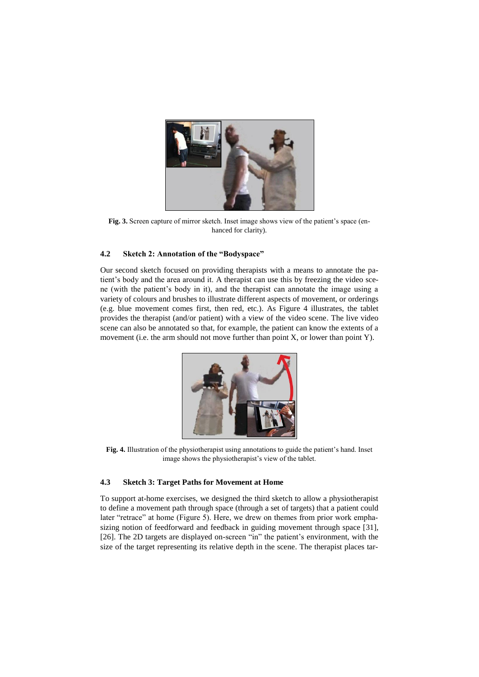

Fig. 3. Screen capture of mirror sketch. Inset image shows view of the patient's space (enhanced for clarity).

#### **4.2 Sketch 2: Annotation of the "Bodyspace"**

Our second sketch focused on providing therapists with a means to annotate the patient's body and the area around it. A therapist can use this by freezing the video scene (with the patient's body in it), and the therapist can annotate the image using a variety of colours and brushes to illustrate different aspects of movement, or orderings (e.g. blue movement comes first, then red, etc.). As Figure 4 illustrates, the tablet provides the therapist (and/or patient) with a view of the video scene. The live video scene can also be annotated so that, for example, the patient can know the extents of a movement (i.e. the arm should not move further than point X, or lower than point Y).



**Fig. 4.** Illustration of the physiotherapist using annotations to guide the patient's hand. Inset image shows the physiotherapist's view of the tablet.

#### **4.3 Sketch 3: Target Paths for Movement at Home**

To support at-home exercises, we designed the third sketch to allow a physiotherapist to define a movement path through space (through a set of targets) that a patient could later "retrace" at home (Figure 5). Here, we drew on themes from prior work emphasizing notion of feedforward and feedback in guiding movement through space [31], [26]. The 2D targets are displayed on-screen "in" the patient's environment, with the size of the target representing its relative depth in the scene. The therapist places tar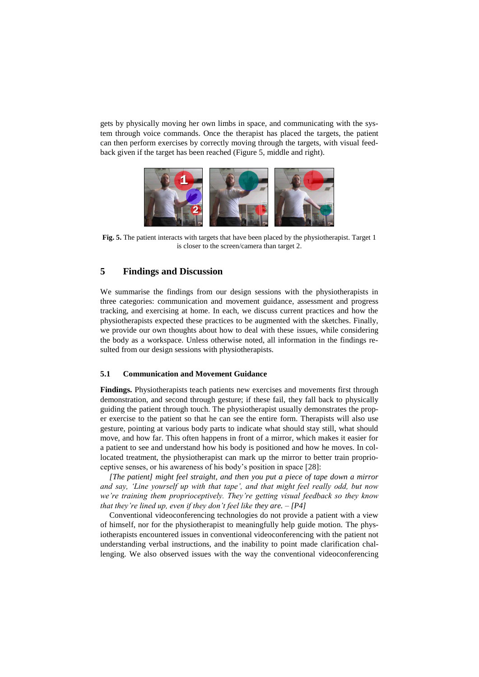gets by physically moving her own limbs in space, and communicating with the system through voice commands. Once the therapist has placed the targets, the patient can then perform exercises by correctly moving through the targets, with visual feedback given if the target has been reached (Figure 5, middle and right).



**Fig. 5.** The patient interacts with targets that have been placed by the physiotherapist. Target 1 is closer to the screen/camera than target 2.

## **5 Findings and Discussion**

We summarise the findings from our design sessions with the physiotherapists in three categories: communication and movement guidance, assessment and progress tracking, and exercising at home. In each, we discuss current practices and how the physiotherapists expected these practices to be augmented with the sketches. Finally, we provide our own thoughts about how to deal with these issues, while considering the body as a workspace. Unless otherwise noted, all information in the findings resulted from our design sessions with physiotherapists.

#### **5.1 Communication and Movement Guidance**

**Findings.** Physiotherapists teach patients new exercises and movements first through demonstration, and second through gesture; if these fail, they fall back to physically guiding the patient through touch. The physiotherapist usually demonstrates the proper exercise to the patient so that he can see the entire form. Therapists will also use gesture, pointing at various body parts to indicate what should stay still, what should move, and how far. This often happens in front of a mirror, which makes it easier for a patient to see and understand how his body is positioned and how he moves. In collocated treatment, the physiotherapist can mark up the mirror to better train proprioceptive senses, or his awareness of his body's position in space [28]:

*[The patient] might feel straight, and then you put a piece of tape down a mirror and say, 'Line yourself up with that tape', and that might feel really odd, but now we're training them proprioceptively. They're getting visual feedback so they know that they're lined up, even if they don't feel like they are. – [P4]*

Conventional videoconferencing technologies do not provide a patient with a view of himself, nor for the physiotherapist to meaningfully help guide motion. The physiotherapists encountered issues in conventional videoconferencing with the patient not understanding verbal instructions, and the inability to point made clarification challenging. We also observed issues with the way the conventional videoconferencing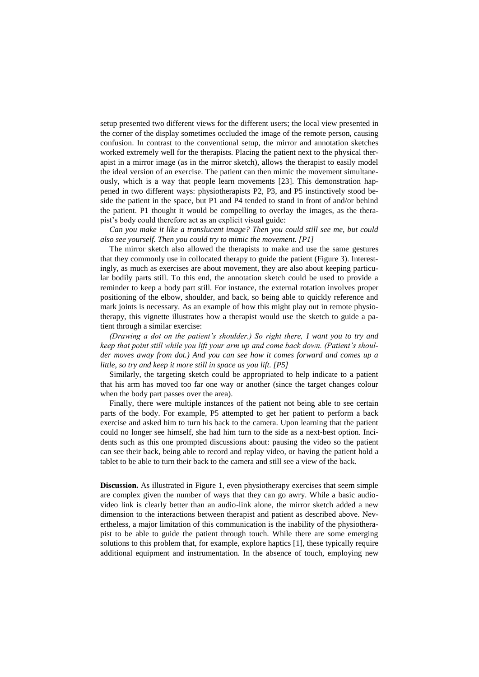setup presented two different views for the different users; the local view presented in the corner of the display sometimes occluded the image of the remote person, causing confusion. In contrast to the conventional setup, the mirror and annotation sketches worked extremely well for the therapists. Placing the patient next to the physical therapist in a mirror image (as in the mirror sketch), allows the therapist to easily model the ideal version of an exercise. The patient can then mimic the movement simultaneously, which is a way that people learn movements [23]. This demonstration happened in two different ways: physiotherapists P2, P3, and P5 instinctively stood beside the patient in the space, but P1 and P4 tended to stand in front of and/or behind the patient. P1 thought it would be compelling to overlay the images, as the therapist's body could therefore act as an explicit visual guide:

*Can you make it like a translucent image? Then you could still see me, but could also see yourself. Then you could try to mimic the movement. [P1]*

The mirror sketch also allowed the therapists to make and use the same gestures that they commonly use in collocated therapy to guide the patient (Figure 3). Interestingly, as much as exercises are about movement, they are also about keeping particular bodily parts still. To this end, the annotation sketch could be used to provide a reminder to keep a body part still. For instance, the external rotation involves proper positioning of the elbow, shoulder, and back, so being able to quickly reference and mark joints is necessary. As an example of how this might play out in remote physiotherapy, this vignette illustrates how a therapist would use the sketch to guide a patient through a similar exercise:

*(Drawing a dot on the patient's shoulder.) So right there, I want you to try and keep that point still while you lift your arm up and come back down. (Patient's shoulder moves away from dot.) And you can see how it comes forward and comes up a little, so try and keep it more still in space as you lift. [P5]*

Similarly, the targeting sketch could be appropriated to help indicate to a patient that his arm has moved too far one way or another (since the target changes colour when the body part passes over the area).

Finally, there were multiple instances of the patient not being able to see certain parts of the body. For example, P5 attempted to get her patient to perform a back exercise and asked him to turn his back to the camera. Upon learning that the patient could no longer see himself, she had him turn to the side as a next-best option. Incidents such as this one prompted discussions about: pausing the video so the patient can see their back, being able to record and replay video, or having the patient hold a tablet to be able to turn their back to the camera and still see a view of the back.

**Discussion.** As illustrated in Figure 1, even physiotherapy exercises that seem simple are complex given the number of ways that they can go awry. While a basic audiovideo link is clearly better than an audio-link alone, the mirror sketch added a new dimension to the interactions between therapist and patient as described above. Nevertheless, a major limitation of this communication is the inability of the physiotherapist to be able to guide the patient through touch. While there are some emerging solutions to this problem that, for example, explore haptics [1], these typically require additional equipment and instrumentation. In the absence of touch, employing new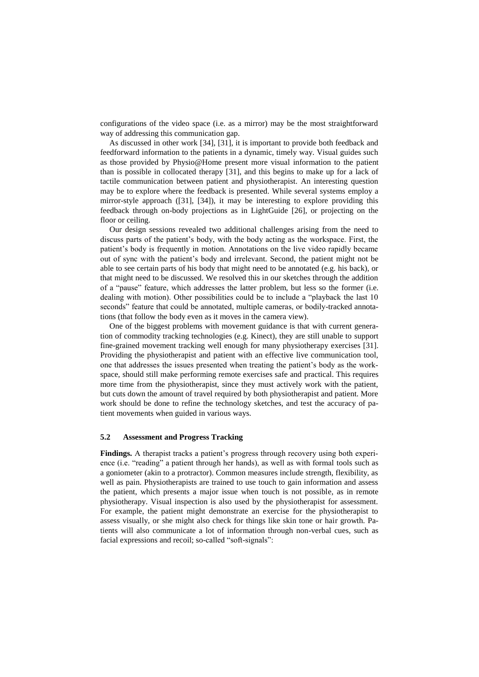configurations of the video space (i.e. as a mirror) may be the most straightforward way of addressing this communication gap.

As discussed in other work [34], [31], it is important to provide both feedback and feedforward information to the patients in a dynamic, timely way. Visual guides such as those provided by Physio@Home present more visual information to the patient than is possible in collocated therapy [31], and this begins to make up for a lack of tactile communication between patient and physiotherapist. An interesting question may be to explore where the feedback is presented. While several systems employ a mirror-style approach ([31], [34]), it may be interesting to explore providing this feedback through on-body projections as in LightGuide [26], or projecting on the floor or ceiling.

Our design sessions revealed two additional challenges arising from the need to discuss parts of the patient's body, with the body acting as the workspace. First, the patient's body is frequently in motion. Annotations on the live video rapidly became out of sync with the patient's body and irrelevant. Second, the patient might not be able to see certain parts of his body that might need to be annotated (e.g. his back), or that might need to be discussed. We resolved this in our sketches through the addition of a "pause" feature, which addresses the latter problem, but less so the former (i.e. dealing with motion). Other possibilities could be to include a "playback the last 10 seconds" feature that could be annotated, multiple cameras, or bodily-tracked annotations (that follow the body even as it moves in the camera view).

One of the biggest problems with movement guidance is that with current generation of commodity tracking technologies (e.g. Kinect), they are still unable to support fine-grained movement tracking well enough for many physiotherapy exercises [31]. Providing the physiotherapist and patient with an effective live communication tool, one that addresses the issues presented when treating the patient's body as the workspace, should still make performing remote exercises safe and practical. This requires more time from the physiotherapist, since they must actively work with the patient, but cuts down the amount of travel required by both physiotherapist and patient. More work should be done to refine the technology sketches, and test the accuracy of patient movements when guided in various ways.

#### **5.2 Assessment and Progress Tracking**

**Findings.** A therapist tracks a patient's progress through recovery using both experience (i.e. "reading" a patient through her hands), as well as with formal tools such as a goniometer (akin to a protractor). Common measures include strength, flexibility, as well as pain. Physiotherapists are trained to use touch to gain information and assess the patient, which presents a major issue when touch is not possible, as in remote physiotherapy. Visual inspection is also used by the physiotherapist for assessment. For example, the patient might demonstrate an exercise for the physiotherapist to assess visually, or she might also check for things like skin tone or hair growth. Patients will also communicate a lot of information through non-verbal cues, such as facial expressions and recoil; so-called "soft-signals":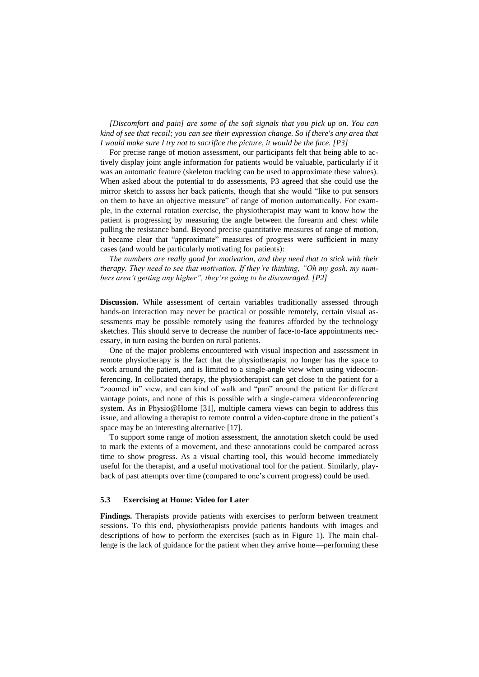*[Discomfort and pain] are some of the soft signals that you pick up on. You can kind of see that recoil; you can see their expression change. So if there's any area that I would make sure I try not to sacrifice the picture, it would be the face. [P3]*

For precise range of motion assessment, our participants felt that being able to actively display joint angle information for patients would be valuable, particularly if it was an automatic feature (skeleton tracking can be used to approximate these values). When asked about the potential to do assessments, P3 agreed that she could use the mirror sketch to assess her back patients, though that she would "like to put sensors on them to have an objective measure" of range of motion automatically. For example, in the external rotation exercise, the physiotherapist may want to know how the patient is progressing by measuring the angle between the forearm and chest while pulling the resistance band. Beyond precise quantitative measures of range of motion, it became clear that "approximate" measures of progress were sufficient in many cases (and would be particularly motivating for patients):

*The numbers are really good for motivation, and they need that to stick with their therapy. They need to see that motivation. If they're thinking, "Oh my gosh, my numbers aren't getting any higher", they're going to be discouraged. [P2]*

**Discussion.** While assessment of certain variables traditionally assessed through hands-on interaction may never be practical or possible remotely, certain visual assessments may be possible remotely using the features afforded by the technology sketches. This should serve to decrease the number of face-to-face appointments necessary, in turn easing the burden on rural patients.

One of the major problems encountered with visual inspection and assessment in remote physiotherapy is the fact that the physiotherapist no longer has the space to work around the patient, and is limited to a single-angle view when using videoconferencing. In collocated therapy, the physiotherapist can get close to the patient for a "zoomed in" view, and can kind of walk and "pan" around the patient for different vantage points, and none of this is possible with a single-camera videoconferencing system. As in Physio@Home [31], multiple camera views can begin to address this issue, and allowing a therapist to remote control a video-capture drone in the patient's space may be an interesting alternative [17].

To support some range of motion assessment, the annotation sketch could be used to mark the extents of a movement, and these annotations could be compared across time to show progress. As a visual charting tool, this would become immediately useful for the therapist, and a useful motivational tool for the patient. Similarly, playback of past attempts over time (compared to one's current progress) could be used.

#### **5.3 Exercising at Home: Video for Later**

**Findings.** Therapists provide patients with exercises to perform between treatment sessions. To this end, physiotherapists provide patients handouts with images and descriptions of how to perform the exercises (such as in Figure 1). The main challenge is the lack of guidance for the patient when they arrive home—performing these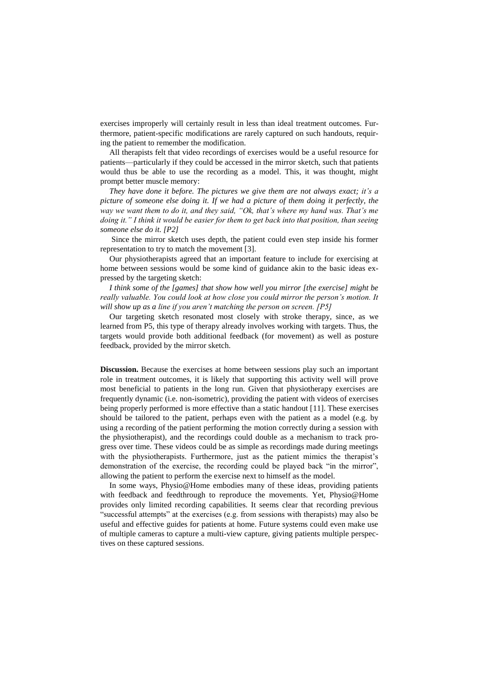exercises improperly will certainly result in less than ideal treatment outcomes. Furthermore, patient-specific modifications are rarely captured on such handouts, requiring the patient to remember the modification.

All therapists felt that video recordings of exercises would be a useful resource for patients—particularly if they could be accessed in the mirror sketch, such that patients would thus be able to use the recording as a model. This, it was thought, might prompt better muscle memory:

*They have done it before. The pictures we give them are not always exact; it's a picture of someone else doing it. If we had a picture of them doing it perfectly, the way we want them to do it, and they said, "Ok, that's where my hand was. That's me doing it." I think it would be easier for them to get back into that position, than seeing someone else do it. [P2]*

Since the mirror sketch uses depth, the patient could even step inside his former representation to try to match the movement [3].

Our physiotherapists agreed that an important feature to include for exercising at home between sessions would be some kind of guidance akin to the basic ideas expressed by the targeting sketch:

*I think some of the [games] that show how well you mirror [the exercise] might be really valuable. You could look at how close you could mirror the person's motion. It will show up as a line if you aren't matching the person on screen. [P5]*

Our targeting sketch resonated most closely with stroke therapy, since, as we learned from P5, this type of therapy already involves working with targets. Thus, the targets would provide both additional feedback (for movement) as well as posture feedback, provided by the mirror sketch.

**Discussion.** Because the exercises at home between sessions play such an important role in treatment outcomes, it is likely that supporting this activity well will prove most beneficial to patients in the long run. Given that physiotherapy exercises are frequently dynamic (i.e. non-isometric), providing the patient with videos of exercises being properly performed is more effective than a static handout [11]. These exercises should be tailored to the patient, perhaps even with the patient as a model (e.g. by using a recording of the patient performing the motion correctly during a session with the physiotherapist), and the recordings could double as a mechanism to track progress over time. These videos could be as simple as recordings made during meetings with the physiotherapists. Furthermore, just as the patient mimics the therapist's demonstration of the exercise, the recording could be played back "in the mirror", allowing the patient to perform the exercise next to himself as the model.

In some ways, Physio@Home embodies many of these ideas, providing patients with feedback and feedthrough to reproduce the movements. Yet, Physio@Home provides only limited recording capabilities. It seems clear that recording previous "successful attempts" at the exercises (e.g. from sessions with therapists) may also be useful and effective guides for patients at home. Future systems could even make use of multiple cameras to capture a multi-view capture, giving patients multiple perspectives on these captured sessions.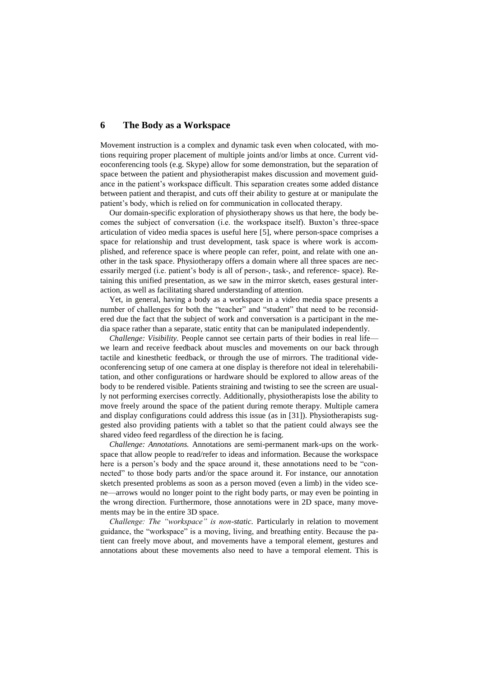## **6 The Body as a Workspace**

Movement instruction is a complex and dynamic task even when colocated, with motions requiring proper placement of multiple joints and/or limbs at once. Current videoconferencing tools (e.g. Skype) allow for some demonstration, but the separation of space between the patient and physiotherapist makes discussion and movement guidance in the patient's workspace difficult. This separation creates some added distance between patient and therapist, and cuts off their ability to gesture at or manipulate the patient's body, which is relied on for communication in collocated therapy.

Our domain-specific exploration of physiotherapy shows us that here, the body becomes the subject of conversation (i.e. the workspace itself). Buxton's three-space articulation of video media spaces is useful here [5], where person-space comprises a space for relationship and trust development, task space is where work is accomplished, and reference space is where people can refer, point, and relate with one another in the task space. Physiotherapy offers a domain where all three spaces are necessarily merged (i.e. patient's body is all of person-, task-, and reference- space). Retaining this unified presentation, as we saw in the mirror sketch, eases gestural interaction, as well as facilitating shared understanding of attention.

Yet, in general, having a body as a workspace in a video media space presents a number of challenges for both the "teacher" and "student" that need to be reconsidered due the fact that the subject of work and conversation is a participant in the media space rather than a separate, static entity that can be manipulated independently.

*Challenge: Visibility.* People cannot see certain parts of their bodies in real life we learn and receive feedback about muscles and movements on our back through tactile and kinesthetic feedback, or through the use of mirrors. The traditional videoconferencing setup of one camera at one display is therefore not ideal in telerehabilitation, and other configurations or hardware should be explored to allow areas of the body to be rendered visible. Patients straining and twisting to see the screen are usually not performing exercises correctly. Additionally, physiotherapists lose the ability to move freely around the space of the patient during remote therapy. Multiple camera and display configurations could address this issue (as in [31]). Physiotherapists suggested also providing patients with a tablet so that the patient could always see the shared video feed regardless of the direction he is facing.

*Challenge: Annotations.* Annotations are semi-permanent mark-ups on the workspace that allow people to read/refer to ideas and information. Because the workspace here is a person's body and the space around it, these annotations need to be "connected" to those body parts and/or the space around it. For instance, our annotation sketch presented problems as soon as a person moved (even a limb) in the video scene—arrows would no longer point to the right body parts, or may even be pointing in the wrong direction. Furthermore, those annotations were in 2D space, many movements may be in the entire 3D space.

*Challenge: The "workspace" is non-static.* Particularly in relation to movement guidance, the "workspace" is a moving, living, and breathing entity. Because the patient can freely move about, and movements have a temporal element, gestures and annotations about these movements also need to have a temporal element. This is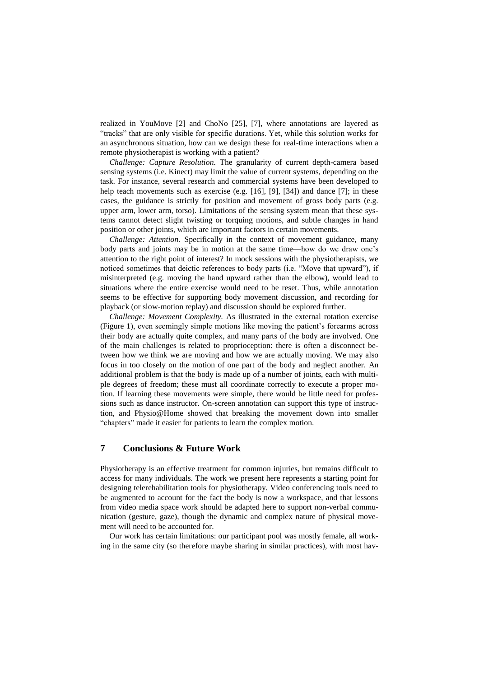realized in YouMove [2] and ChoNo [25], [7], where annotations are layered as "tracks" that are only visible for specific durations. Yet, while this solution works for an asynchronous situation, how can we design these for real-time interactions when a remote physiotherapist is working with a patient?

*Challenge: Capture Resolution.* The granularity of current depth-camera based sensing systems (i.e. Kinect) may limit the value of current systems, depending on the task. For instance, several research and commercial systems have been developed to help teach movements such as exercise (e.g. [16], [9], [34]) and dance [7]; in these cases, the guidance is strictly for position and movement of gross body parts (e.g. upper arm, lower arm, torso). Limitations of the sensing system mean that these systems cannot detect slight twisting or torquing motions, and subtle changes in hand position or other joints, which are important factors in certain movements.

*Challenge: Attention.* Specifically in the context of movement guidance, many body parts and joints may be in motion at the same time—how do we draw one's attention to the right point of interest? In mock sessions with the physiotherapists, we noticed sometimes that deictic references to body parts (i.e. "Move that upward"), if misinterpreted (e.g. moving the hand upward rather than the elbow), would lead to situations where the entire exercise would need to be reset. Thus, while annotation seems to be effective for supporting body movement discussion, and recording for playback (or slow-motion replay) and discussion should be explored further.

*Challenge: Movement Complexity.* As illustrated in the external rotation exercise (Figure 1), even seemingly simple motions like moving the patient's forearms across their body are actually quite complex, and many parts of the body are involved. One of the main challenges is related to proprioception: there is often a disconnect between how we think we are moving and how we are actually moving. We may also focus in too closely on the motion of one part of the body and neglect another. An additional problem is that the body is made up of a number of joints, each with multiple degrees of freedom; these must all coordinate correctly to execute a proper motion. If learning these movements were simple, there would be little need for professions such as dance instructor. On-screen annotation can support this type of instruction, and Physio@Home showed that breaking the movement down into smaller "chapters" made it easier for patients to learn the complex motion.

# **7 Conclusions & Future Work**

Physiotherapy is an effective treatment for common injuries, but remains difficult to access for many individuals. The work we present here represents a starting point for designing telerehabilitation tools for physiotherapy. Video conferencing tools need to be augmented to account for the fact the body is now a workspace, and that lessons from video media space work should be adapted here to support non-verbal communication (gesture, gaze), though the dynamic and complex nature of physical movement will need to be accounted for.

Our work has certain limitations: our participant pool was mostly female, all working in the same city (so therefore maybe sharing in similar practices), with most hav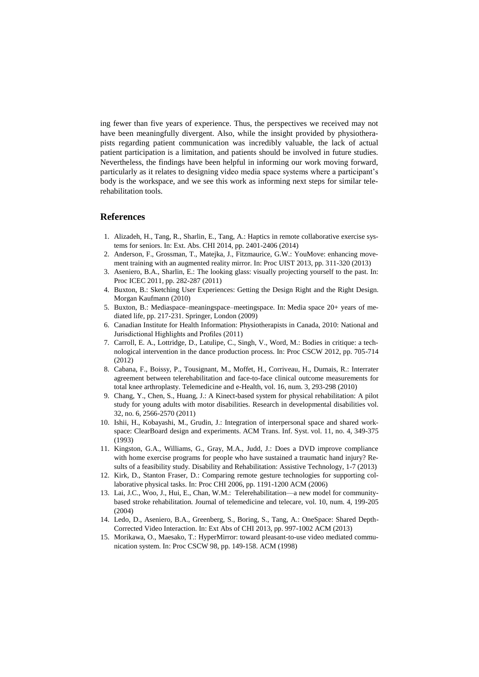ing fewer than five years of experience. Thus, the perspectives we received may not have been meaningfully divergent. Also, while the insight provided by physiotherapists regarding patient communication was incredibly valuable, the lack of actual patient participation is a limitation, and patients should be involved in future studies. Nevertheless, the findings have been helpful in informing our work moving forward, particularly as it relates to designing video media space systems where a participant's body is the workspace, and we see this work as informing next steps for similar telerehabilitation tools.

## **References**

- 1. Alizadeh, H., Tang, R., Sharlin, E., Tang, A.: Haptics in remote collaborative exercise systems for seniors. In: Ext. Abs. CHI 2014, pp. 2401-2406 (2014)
- 2. Anderson, F., Grossman, T., Matejka, J., Fitzmaurice, G.W.: YouMove: enhancing movement training with an augmented reality mirror. In: Proc UIST 2013, pp. 311-320 (2013)
- 3. Aseniero, B.A., Sharlin, E.: The looking glass: visually projecting yourself to the past. In: Proc ICEC 2011, pp. 282-287 (2011)
- 4. Buxton, B.: Sketching User Experiences: Getting the Design Right and the Right Design. Morgan Kaufmann (2010)
- 5. Buxton, B.: Mediaspace–meaningspace–meetingspace. In: Media space 20+ years of mediated life, pp. 217-231. Springer, London (2009)
- 6. Canadian Institute for Health Information: Physiotherapists in Canada, 2010: National and Jurisdictional Highlights and Profiles (2011)
- 7. Carroll, E. A., Lottridge, D., Latulipe, C., Singh, V., Word, M.: Bodies in critique: a technological intervention in the dance production process. In: Proc CSCW 2012, pp. 705-714 (2012)
- 8. Cabana, F., Boissy, P., Tousignant, M., Moffet, H., Corriveau, H., Dumais, R.: Interrater agreement between telerehabilitation and face-to-face clinical outcome measurements for total knee arthroplasty. Telemedicine and e-Health, vol. 16, num. 3, 293-298 (2010)
- 9. Chang, Y., Chen, S., Huang, J.: A Kinect-based system for physical rehabilitation: A pilot study for young adults with motor disabilities. Research in developmental disabilities vol. 32, no. 6, 2566-2570 (2011)
- 10. Ishii, H., Kobayashi, M., Grudin, J.: Integration of interpersonal space and shared workspace: ClearBoard design and experiments. ACM Trans. Inf. Syst. vol. 11, no. 4, 349-375 (1993)
- 11. Kingston, G.A., Williams, G., Gray, M.A., Judd, J.: Does a DVD improve compliance with home exercise programs for people who have sustained a traumatic hand injury? Results of a feasibility study. Disability and Rehabilitation: Assistive Technology, 1-7 (2013)
- 12. Kirk, D., Stanton Fraser, D.: Comparing remote gesture technologies for supporting collaborative physical tasks. In: Proc CHI 2006, pp. 1191-1200 ACM (2006)
- 13. Lai, J.C., Woo, J., Hui, E., Chan, W.M.: Telerehabilitation—a new model for communitybased stroke rehabilitation. Journal of telemedicine and telecare, vol. 10, num. 4, 199-205 (2004)
- 14. Ledo, D., Aseniero, B.A., Greenberg, S., Boring, S., Tang, A.: OneSpace: Shared Depth-Corrected Video Interaction. In: Ext Abs of CHI 2013, pp. 997-1002 ACM (2013)
- 15. Morikawa, O., Maesako, T.: HyperMirror: toward pleasant-to-use video mediated communication system. In: Proc CSCW 98, pp. 149-158. ACM (1998)